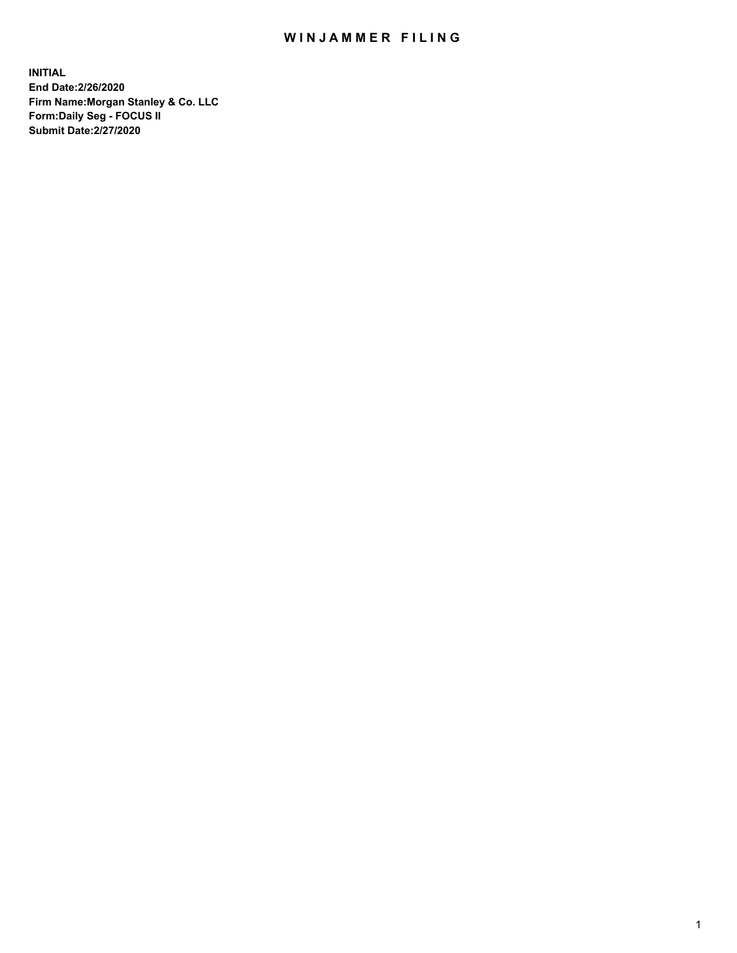## WIN JAMMER FILING

**INITIAL End Date:2/26/2020 Firm Name:Morgan Stanley & Co. LLC Form:Daily Seg - FOCUS II Submit Date:2/27/2020**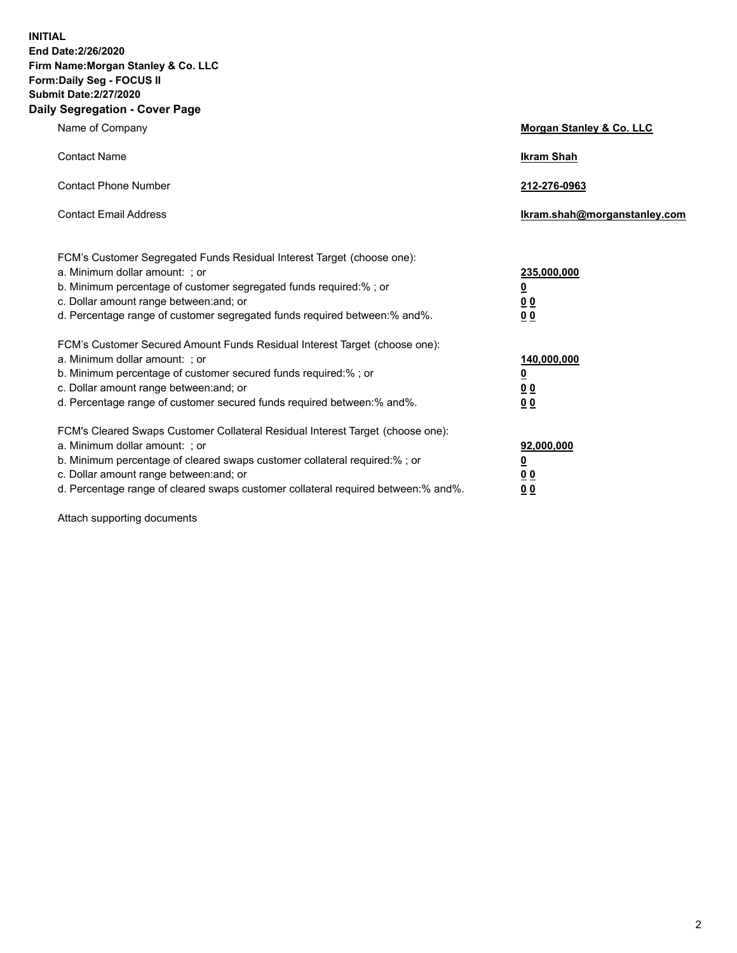**INITIAL End Date:2/26/2020 Firm Name:Morgan Stanley & Co. LLC Form:Daily Seg - FOCUS II Submit Date:2/27/2020 Daily Segregation - Cover Page**

| Name of Company                                                                                                                                                                                                                                                                                                                | Morgan Stanley & Co. LLC                                    |
|--------------------------------------------------------------------------------------------------------------------------------------------------------------------------------------------------------------------------------------------------------------------------------------------------------------------------------|-------------------------------------------------------------|
| <b>Contact Name</b>                                                                                                                                                                                                                                                                                                            | <b>Ikram Shah</b>                                           |
| <b>Contact Phone Number</b>                                                                                                                                                                                                                                                                                                    | 212-276-0963                                                |
| <b>Contact Email Address</b>                                                                                                                                                                                                                                                                                                   | Ikram.shah@morganstanley.com                                |
| FCM's Customer Segregated Funds Residual Interest Target (choose one):<br>a. Minimum dollar amount: ; or<br>b. Minimum percentage of customer segregated funds required:% ; or<br>c. Dollar amount range between: and; or<br>d. Percentage range of customer segregated funds required between:% and%.                         | 235,000,000<br><u>0</u><br><u>00</u><br>0 <sub>0</sub>      |
| FCM's Customer Secured Amount Funds Residual Interest Target (choose one):<br>a. Minimum dollar amount: ; or<br>b. Minimum percentage of customer secured funds required:% ; or<br>c. Dollar amount range between: and; or<br>d. Percentage range of customer secured funds required between:% and%.                           | 140,000,000<br><u>0</u><br>0 <sub>0</sub><br>0 <sub>0</sub> |
| FCM's Cleared Swaps Customer Collateral Residual Interest Target (choose one):<br>a. Minimum dollar amount: ; or<br>b. Minimum percentage of cleared swaps customer collateral required:% ; or<br>c. Dollar amount range between: and; or<br>d. Percentage range of cleared swaps customer collateral required between:% and%. | 92,000,000<br><u>0</u><br><u>00</u><br>00                   |

Attach supporting documents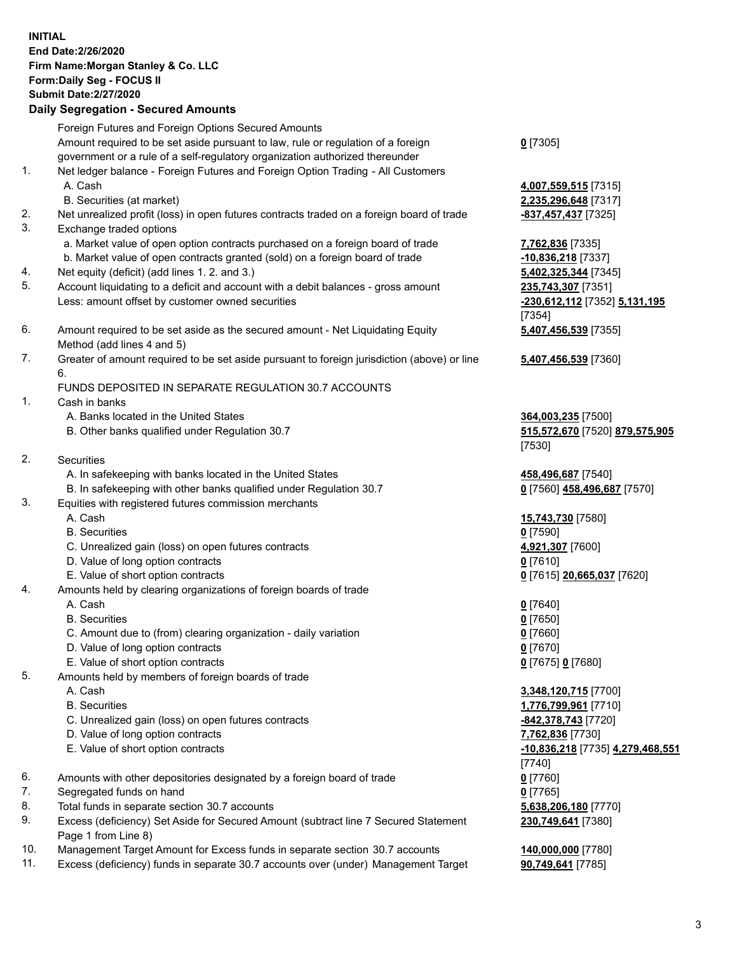| <b>INITIAL</b> | End Date: 2/26/2020<br>Firm Name: Morgan Stanley & Co. LLC<br>Form: Daily Seg - FOCUS II<br><b>Submit Date:2/27/2020</b><br><b>Daily Segregation - Secured Amounts</b> |                                                      |
|----------------|------------------------------------------------------------------------------------------------------------------------------------------------------------------------|------------------------------------------------------|
|                | Foreign Futures and Foreign Options Secured Amounts                                                                                                                    |                                                      |
|                | Amount required to be set aside pursuant to law, rule or regulation of a foreign                                                                                       | $0$ [7305]                                           |
|                | government or a rule of a self-regulatory organization authorized thereunder                                                                                           |                                                      |
| 1.             | Net ledger balance - Foreign Futures and Foreign Option Trading - All Customers                                                                                        |                                                      |
|                | A. Cash<br>B. Securities (at market)                                                                                                                                   | 4,007,559,515 [7315]<br>2,235,296,648 [7317]         |
| 2.             | Net unrealized profit (loss) in open futures contracts traded on a foreign board of trade                                                                              | -837,457,437 [7325]                                  |
| 3.             | Exchange traded options                                                                                                                                                |                                                      |
|                | a. Market value of open option contracts purchased on a foreign board of trade                                                                                         | 7,762,836 [7335]                                     |
|                | b. Market value of open contracts granted (sold) on a foreign board of trade                                                                                           | -10,836,218 [7337]                                   |
| 4.             | Net equity (deficit) (add lines 1.2. and 3.)                                                                                                                           | 5,402,325,344 [7345]                                 |
| 5.             | Account liquidating to a deficit and account with a debit balances - gross amount                                                                                      | 235,743,307 [7351]                                   |
|                | Less: amount offset by customer owned securities                                                                                                                       | -230,612,112 [7352] 5,131,195                        |
| 6.             | Amount required to be set aside as the secured amount - Net Liquidating Equity                                                                                         | [7354]<br>5,407,456,539 [7355]                       |
|                | Method (add lines 4 and 5)                                                                                                                                             |                                                      |
| 7.             | Greater of amount required to be set aside pursuant to foreign jurisdiction (above) or line                                                                            | 5,407,456,539 [7360]                                 |
|                | 6.                                                                                                                                                                     |                                                      |
|                | FUNDS DEPOSITED IN SEPARATE REGULATION 30.7 ACCOUNTS                                                                                                                   |                                                      |
| 1.             | Cash in banks<br>A. Banks located in the United States                                                                                                                 |                                                      |
|                | B. Other banks qualified under Regulation 30.7                                                                                                                         | 364,003,235 [7500]<br>515,572,670 [7520] 879,575,905 |
|                |                                                                                                                                                                        | [7530]                                               |
| 2.             | Securities                                                                                                                                                             |                                                      |
|                | A. In safekeeping with banks located in the United States                                                                                                              | 458,496,687 [7540]                                   |
|                | B. In safekeeping with other banks qualified under Regulation 30.7                                                                                                     | 0 [7560] 458,496,687 [7570]                          |
| 3.             | Equities with registered futures commission merchants                                                                                                                  |                                                      |
|                | A. Cash<br><b>B.</b> Securities                                                                                                                                        | 15,743,730 [7580]<br>$0$ [7590]                      |
|                | C. Unrealized gain (loss) on open futures contracts                                                                                                                    | 4,921,307 [7600]                                     |
|                | D. Value of long option contracts                                                                                                                                      | $0$ [7610]                                           |
|                | E. Value of short option contracts                                                                                                                                     | 0 [7615] 20,665,037 [7620]                           |
| 4.             | Amounts held by clearing organizations of foreign boards of trade                                                                                                      |                                                      |
|                | A. Cash                                                                                                                                                                | $0$ [7640]                                           |
|                | <b>B.</b> Securities                                                                                                                                                   | $0$ [7650]                                           |
|                | C. Amount due to (from) clearing organization - daily variation<br>D. Value of long option contracts                                                                   | $0$ [7660]<br>$0$ [7670]                             |
|                | E. Value of short option contracts                                                                                                                                     | 0 [7675] 0 [7680]                                    |
| 5.             | Amounts held by members of foreign boards of trade                                                                                                                     |                                                      |
|                | A. Cash                                                                                                                                                                | 3,348,120,715 [7700]                                 |
|                | <b>B.</b> Securities                                                                                                                                                   | 1,776,799,961 [7710]                                 |
|                | C. Unrealized gain (loss) on open futures contracts                                                                                                                    | -842,378,743 [7720]                                  |
|                | D. Value of long option contracts                                                                                                                                      | 7,762,836 [7730]                                     |
|                | E. Value of short option contracts                                                                                                                                     | -10,836,218 [7735] 4,279,468,551<br>[7740]           |
| 6.             | Amounts with other depositories designated by a foreign board of trade                                                                                                 | $0$ [7760]                                           |
| 7.<br>8.       | Segregated funds on hand<br>Total funds in separate section 30.7 accounts                                                                                              | <u>0</u> [7765]<br>5,638,206,180 [7770]              |
| 9.             | Excess (deficiency) Set Aside for Secured Amount (subtract line 7 Secured Statement                                                                                    | 230,749,641 [7380]                                   |
|                | Page 1 from Line 8)                                                                                                                                                    |                                                      |

- 10. Management Target Amount for Excess funds in separate section 30.7 accounts **140,000,000** [7780]
- 11. Excess (deficiency) funds in separate 30.7 accounts over (under) Management Target **90,749,641** [7785]

3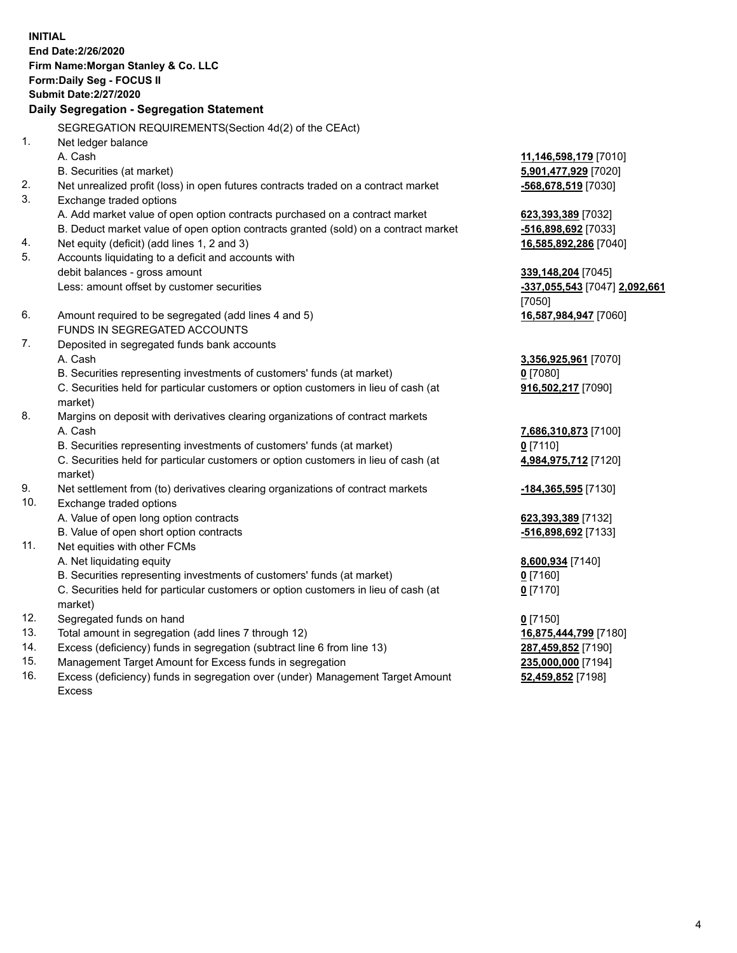**INITIAL End Date:2/26/2020 Firm Name:Morgan Stanley & Co. LLC Form:Daily Seg - FOCUS II Submit Date:2/27/2020 Daily Segregation - Segregation Statement** SEGREGATION REQUIREMENTS(Section 4d(2) of the CEAct) 1. Net ledger balance A. Cash **11,146,598,179** [7010] B. Securities (at market) **5,901,477,929** [7020] 2. Net unrealized profit (loss) in open futures contracts traded on a contract market **-568,678,519** [7030] 3. Exchange traded options A. Add market value of open option contracts purchased on a contract market **623,393,389** [7032] B. Deduct market value of open option contracts granted (sold) on a contract market **-516,898,692** [7033] 4. Net equity (deficit) (add lines 1, 2 and 3) **16,585,892,286** [7040] 5. Accounts liquidating to a deficit and accounts with debit balances - gross amount **339,148,204** [7045] Less: amount offset by customer securities **-337,055,543** [7047] **2,092,661** [7050] 6. Amount required to be segregated (add lines 4 and 5) **16,587,984,947** [7060] FUNDS IN SEGREGATED ACCOUNTS 7. Deposited in segregated funds bank accounts A. Cash **3,356,925,961** [7070] B. Securities representing investments of customers' funds (at market) **0** [7080] C. Securities held for particular customers or option customers in lieu of cash (at market) **916,502,217** [7090] 8. Margins on deposit with derivatives clearing organizations of contract markets A. Cash **7,686,310,873** [7100] B. Securities representing investments of customers' funds (at market) **0** [7110] C. Securities held for particular customers or option customers in lieu of cash (at market) **4,984,975,712** [7120] 9. Net settlement from (to) derivatives clearing organizations of contract markets **-184,365,595** [7130] 10. Exchange traded options A. Value of open long option contracts **623,393,389** [7132] B. Value of open short option contracts **and the set of our original contracts -516,898,692** [7133] 11. Net equities with other FCMs A. Net liquidating equity **8,600,934** [7140] B. Securities representing investments of customers' funds (at market) **0** [7160] C. Securities held for particular customers or option customers in lieu of cash (at market) **0** [7170] 12. Segregated funds on hand **0** [7150] 13. Total amount in segregation (add lines 7 through 12) **16,875,444,799** [7180] 14. Excess (deficiency) funds in segregation (subtract line 6 from line 13) **287,459,852** [7190] 15. Management Target Amount for Excess funds in segregation **235,000,000** [7194]

16. Excess (deficiency) funds in segregation over (under) Management Target Amount Excess

**52,459,852** [7198]